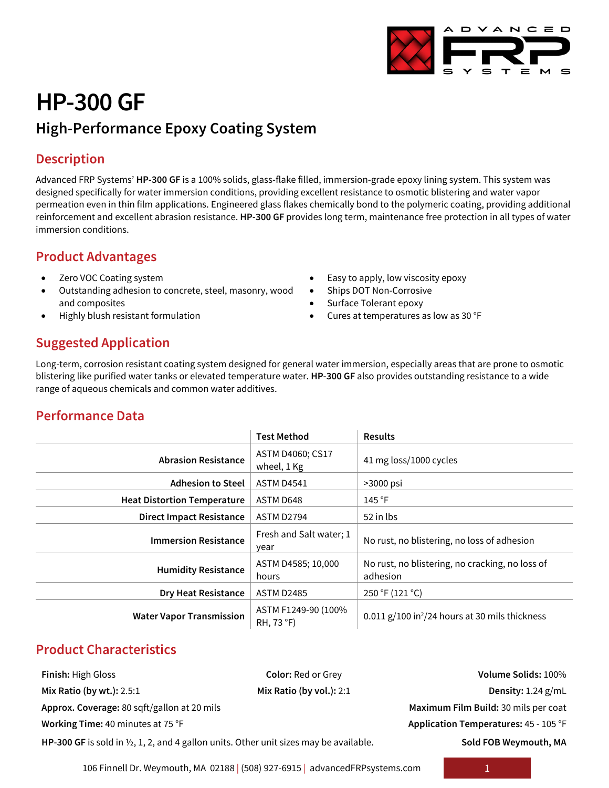

# **HP-300 GF High-Performance Epoxy Coating System**

### **Description**

Advanced FRP Systems' **HP-300 GF** is a 100% solids, glass-flake filled, immersion-grade epoxy lining system. This system was designed specifically for water immersion conditions, providing excellent resistance to osmotic blistering and water vapor permeation even in thin film applications. Engineered glass flakes chemically bond to the polymeric coating, providing additional reinforcement and excellent abrasion resistance. **HP-300 GF** provides long term, maintenance free protection in all types of water immersion conditions.

### **Product Advantages**

- Zero VOC Coating system
- Outstanding adhesion to concrete, steel, masonry, wood and composites
- Highly blush resistant formulation
- Easy to apply, low viscosity epoxy
- Ships DOT Non-Corrosive
- Surface Tolerant epoxy
- Cures at temperatures as low as 30 °F

# **Suggested Application**

Long-term, corrosion resistant coating system designed for general water immersion, especially areas that are prone to osmotic blistering like purified water tanks or elevated temperature water. **HP-300 GF** also provides outstanding resistance to a wide range of aqueous chemicals and common water additives.

# **Performance Data**

|                                    | <b>Test Method</b>                | <b>Results</b>                                               |  |
|------------------------------------|-----------------------------------|--------------------------------------------------------------|--|
| <b>Abrasion Resistance</b>         | ASTM D4060; CS17<br>wheel, 1 Kg   | 41 mg loss/1000 cycles                                       |  |
| <b>Adhesion to Steel</b>           | <b>ASTM D4541</b>                 | $>3000$ psi                                                  |  |
| <b>Heat Distortion Temperature</b> | ASTM D648                         | 145 °F                                                       |  |
| <b>Direct Impact Resistance</b>    | ASTM D2794                        | 52 in lbs                                                    |  |
| <b>Immersion Resistance</b>        | Fresh and Salt water; 1<br>year   | No rust, no blistering, no loss of adhesion                  |  |
| <b>Humidity Resistance</b>         | ASTM D4585; 10,000<br>hours       | No rust, no blistering, no cracking, no loss of<br>adhesion  |  |
| <b>Dry Heat Resistance</b>         | <b>ASTM D2485</b>                 | 250 °F (121 °C)                                              |  |
| <b>Water Vapor Transmission</b>    | ASTM F1249-90 (100%<br>RH, 73 °F) | $0.011$ g/100 in <sup>2</sup> /24 hours at 30 mils thickness |  |

# **Product Characteristics**

| <b>Finish: High Gloss</b>                                                                         | <b>Color: Red or Grey</b>  | Volume Solids: 100%                   |
|---------------------------------------------------------------------------------------------------|----------------------------|---------------------------------------|
| Mix Ratio (by wt.): 2.5:1                                                                         | Mix Ratio (by vol.): $2:1$ | Density: $1.24$ g/mL                  |
| Approx. Coverage: 80 sqft/gallon at 20 mils                                                       |                            | Maximum Film Build: 30 mils per coat  |
| Working Time: 40 minutes at 75 °F                                                                 |                            | Application Temperatures: 45 - 105 °F |
| HP-300 GF is sold in $\frac{1}{2}$ , 1, 2, and 4 gallon units. Other unit sizes may be available. |                            | Sold FOB Weymouth, MA                 |

106 Finnell Dr. Weymouth, MA 02188 | (508) 927-6915 | advancedFRPsystems.com 1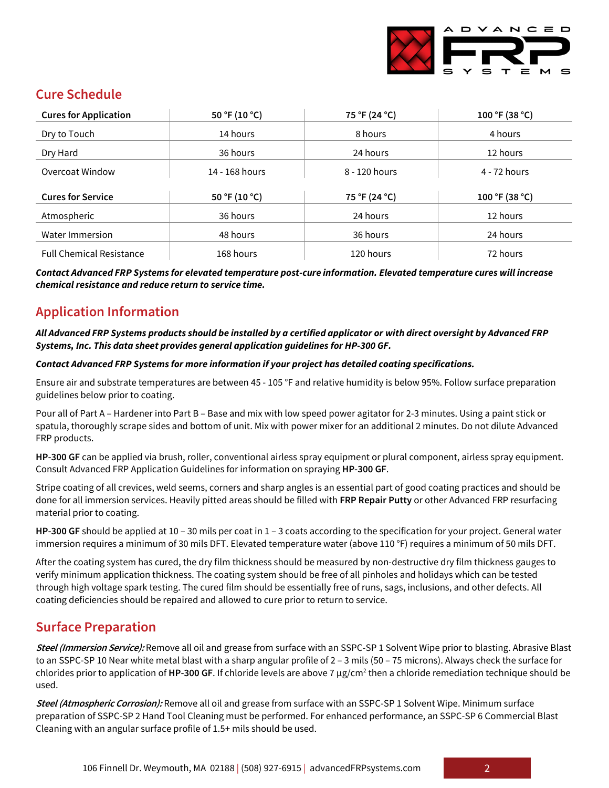

# **Cure Schedule**

| <b>Cures for Application</b>    | 50 °F (10 °C)  | 75 °F (24 °C) | 100 °F (38 °C) |
|---------------------------------|----------------|---------------|----------------|
| Dry to Touch                    | 14 hours       | 8 hours       | 4 hours        |
| Dry Hard                        | 36 hours       | 24 hours      | 12 hours       |
| Overcoat Window                 | 14 - 168 hours | 8 - 120 hours | 4 - 72 hours   |
| <b>Cures for Service</b>        |                |               |                |
|                                 | 50 °F (10 °C)  | 75 °F (24 °C) | 100 °F (38 °C) |
| Atmospheric                     | 36 hours       | 24 hours      | 12 hours       |
| Water Immersion                 | 48 hours       | 36 hours      | 24 hours       |
| <b>Full Chemical Resistance</b> | 168 hours      | 120 hours     | 72 hours       |

*Contact Advanced FRP Systems for elevated temperature post-cure information. Elevated temperature cures will increase chemical resistance and reduce return to service time.*

# **Application Information**

#### *All Advanced FRP Systems products should be installed by a certified applicator or with direct oversight by Advanced FRP Systems, Inc. This data sheet provides general application guidelines for HP-300 GF.*

#### *Contact Advanced FRP Systems for more information if your project has detailed coating specifications.*

Ensure air and substrate temperatures are between 45 - 105 °F and relative humidity is below 95%. Follow surface preparation guidelines below prior to coating.

Pour all of Part A – Hardener into Part B – Base and mix with low speed power agitator for 2-3 minutes. Using a paint stick or spatula, thoroughly scrape sides and bottom of unit. Mix with power mixer for an additional 2 minutes. Do not dilute Advanced FRP products.

**HP-300 GF** can be applied via brush, roller, conventional airless spray equipment or plural component, airless spray equipment. Consult Advanced FRP Application Guidelines for information on spraying **HP-300 GF**.

Stripe coating of all crevices, weld seems, corners and sharp angles is an essential part of good coating practices and should be done for all immersion services. Heavily pitted areas should be filled with **FRP Repair Putty** or other Advanced FRP resurfacing material prior to coating.

**HP-300 GF** should be applied at 10 – 30 mils per coat in 1 – 3 coats according to the specification for your project. General water immersion requires a minimum of 30 mils DFT. Elevated temperature water (above 110 °F) requires a minimum of 50 mils DFT.

After the coating system has cured, the dry film thickness should be measured by non-destructive dry film thickness gauges to verify minimum application thickness. The coating system should be free of all pinholes and holidays which can be tested through high voltage spark testing. The cured film should be essentially free of runs, sags, inclusions, and other defects. All coating deficiencies should be repaired and allowed to cure prior to return to service.

### **Surface Preparation**

**Steel (Immersion Service):** Remove all oil and grease from surface with an SSPC-SP 1 Solvent Wipe prior to blasting. Abrasive Blast to an SSPC-SP 10 Near white metal blast with a sharp angular profile of 2 – 3 mils (50 – 75 microns). Always check the surface for chlorides prior to application of **HP-300 GF**. If chloride levels are above 7 µg/cm2 then a chloride remediation technique should be used.

**Steel (Atmospheric Corrosion):** Remove all oil and grease from surface with an SSPC-SP 1 Solvent Wipe. Minimum surface preparation of SSPC-SP 2 Hand Tool Cleaning must be performed. For enhanced performance, an SSPC-SP 6 Commercial Blast Cleaning with an angular surface profile of 1.5+ mils should be used.